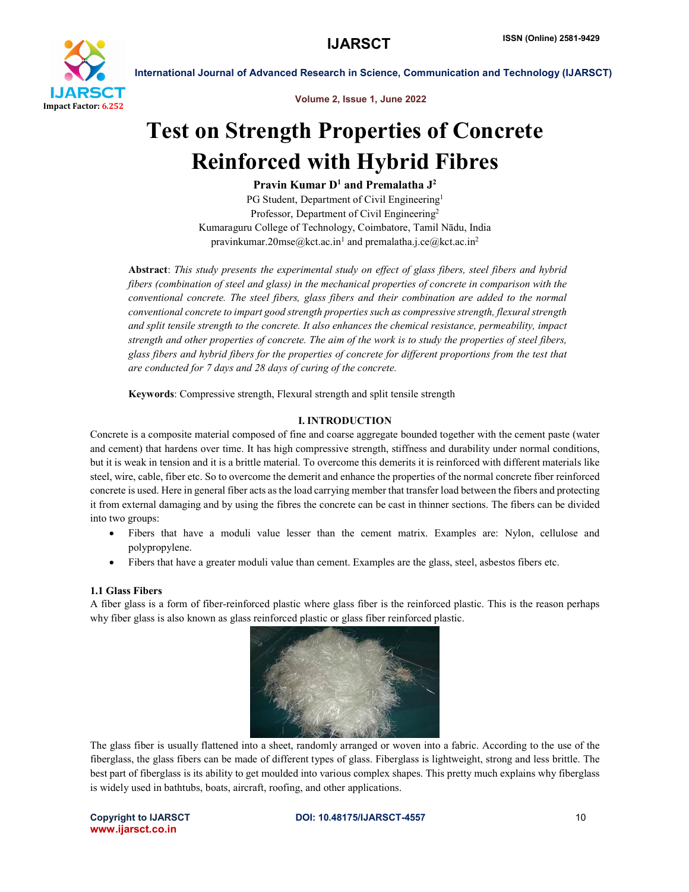

Volume 2, Issue 1, June 2022

# Test on Strength Properties of Concrete Reinforced with Hybrid Fibres

Pravin Kumar  $D^1$  and Premalatha  $J^2$ 

PG Student, Department of Civil Engineering<sup>1</sup> Professor, Department of Civil Engineering<sup>2</sup> Kumaraguru College of Technology, Coimbatore, Tamil Nādu, India pravinkumar.20mse@kct.ac.in<sup>1</sup> and premalatha.j.ce@kct.ac.in<sup>2</sup>

Abstract: *This study presents the experimental study on effect of glass fibers, steel fibers and hybrid fibers (combination of steel and glass) in the mechanical properties of concrete in comparison with the conventional concrete. The steel fibers, glass fibers and their combination are added to the normal conventional concrete to impart good strength properties such as compressive strength, flexural strength and split tensile strength to the concrete. It also enhances the chemical resistance, permeability, impact strength and other properties of concrete. The aim of the work is to study the properties of steel fibers, glass fibers and hybrid fibers for the properties of concrete for different proportions from the test that are conducted for 7 days and 28 days of curing of the concrete.*

Keywords: Compressive strength, Flexural strength and split tensile strength

### I. INTRODUCTION

Concrete is a composite material composed of fine and coarse aggregate bounded together with the cement paste (water and cement) that hardens over time. It has high compressive strength, stiffness and durability under normal conditions, but it is weak in tension and it is a brittle material. To overcome this demerits it is reinforced with different materials like steel, wire, cable, fiber etc. So to overcome the demerit and enhance the properties of the normal concrete fiber reinforced concrete is used. Here in general fiber acts as the load carrying member that transfer load between the fibers and protecting it from external damaging and by using the fibres the concrete can be cast in thinner sections. The fibers can be divided into two groups:

- Fibers that have a moduli value lesser than the cement matrix. Examples are: Nylon, cellulose and polypropylene.
- Fibers that have a greater moduli value than cement. Examples are the glass, steel, asbestos fibers etc.

#### 1.1 Glass Fibers

A fiber glass is a form of fiber-reinforced plastic where glass fiber is the reinforced plastic. This is the reason perhaps why fiber glass is also known as glass reinforced plastic or glass fiber reinforced plastic.



The glass fiber is usually flattened into a sheet, randomly arranged or woven into a fabric. According to the use of the fiberglass, the glass fibers can be made of different types of glass. Fiberglass is lightweight, strong and less brittle. The best part of fiberglass is its ability to get moulded into various complex shapes. This pretty much explains why fiberglass is widely used in bathtubs, boats, aircraft, roofing, and other applications.

www.ijarsct.co.in

Copyright to IJARSCT **DOI: 10.48175/IJARSCT-4557** 10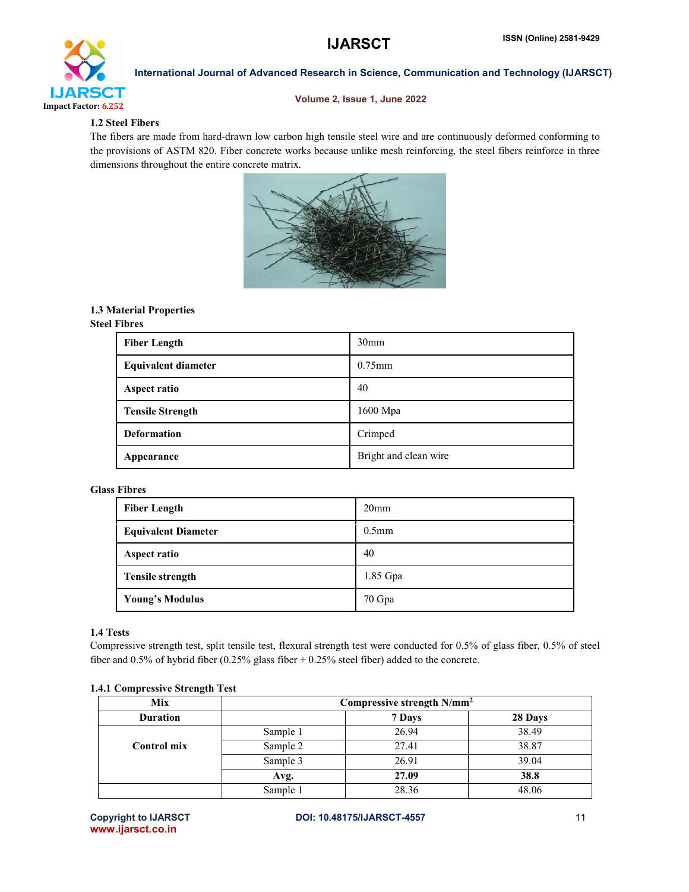

### Volume 2, Issue 1, June 2022

# 1.2 Steel Fibers

The fibers are made from hard-drawn low carbon high tensile steel wire and are continuously deformed conforming to the provisions of ASTM 820. Fiber concrete works because unlike mesh reinforcing, the steel fibers reinforce in three dimensions throughout the entire concrete matrix.



# 1.3 Material Properties

#### Steel Fibres

| <b>Fiber Length</b>        | 30 <sub>mm</sub>      |
|----------------------------|-----------------------|
| <b>Equivalent diameter</b> | $0.75$ mm             |
| Aspect ratio               | 40                    |
| <b>Tensile Strength</b>    | 1600 Mpa              |
| <b>Deformation</b>         | Crimped               |
| Appearance                 | Bright and clean wire |

# Glass Fibres

| <b>Fiber Length</b>        | 20 <sub>mm</sub> |
|----------------------------|------------------|
| <b>Equivalent Diameter</b> | $0.5$ mm         |
| <b>Aspect ratio</b>        | 40               |
| <b>Tensile strength</b>    | 1.85 Gpa         |
| <b>Young's Modulus</b>     | 70 Gpa           |

# 1.4 Tests

Compressive strength test, split tensile test, flexural strength test were conducted for 0.5% of glass fiber, 0.5% of steel fiber and 0.5% of hybrid fiber (0.25% glass fiber + 0.25% steel fiber) added to the concrete.

#### 1.4.1 Compressive Strength Test

| Mix             | Compressive strength N/mm <sup>2</sup> |        |         |
|-----------------|----------------------------------------|--------|---------|
| <b>Duration</b> |                                        | 7 Days | 28 Days |
|                 | Sample 1                               | 26.94  | 38.49   |
| Control mix     | Sample 2                               | 27.41  | 38.87   |
|                 | Sample 3                               | 26.91  | 39.04   |
|                 | Avg.                                   | 27.09  | 38.8    |
|                 | Sample 1                               | 28.36  | 48.06   |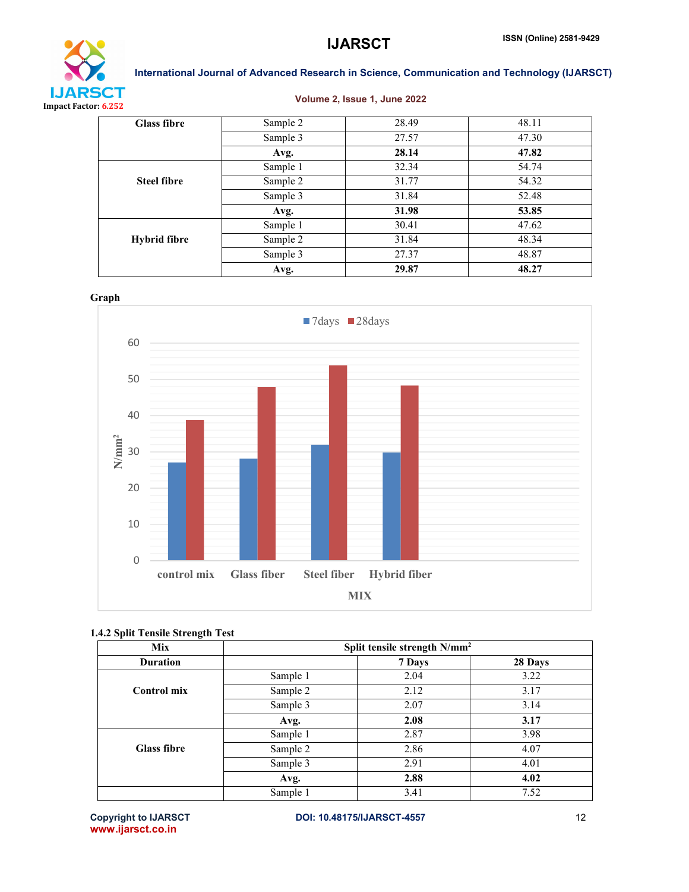

### Volume 2, Issue 1, June 2022

| <b>Glass fibre</b>  | Sample 2 | 28.49 | 48.11 |
|---------------------|----------|-------|-------|
|                     | Sample 3 | 27.57 | 47.30 |
|                     | Avg.     | 28.14 | 47.82 |
|                     | Sample 1 | 32.34 | 54.74 |
| <b>Steel fibre</b>  | Sample 2 | 31.77 | 54.32 |
|                     | Sample 3 | 31.84 | 52.48 |
|                     | Avg.     | 31.98 | 53.85 |
|                     | Sample 1 | 30.41 | 47.62 |
| <b>Hybrid fibre</b> | Sample 2 | 31.84 | 48.34 |
|                     | Sample 3 | 27.37 | 48.87 |
|                     | Avg.     | 29.87 | 48.27 |





# 1.4.2 Split Tensile Strength Test

| Mix                |          | Split tensile strength N/mm <sup>2</sup> |         |  |
|--------------------|----------|------------------------------------------|---------|--|
| <b>Duration</b>    |          | 7 Days                                   | 28 Days |  |
|                    | Sample 1 | 2.04                                     | 3.22    |  |
| <b>Control mix</b> | Sample 2 | 2.12                                     | 3.17    |  |
|                    | Sample 3 | 2.07                                     | 3.14    |  |
|                    | Avg.     | 2.08                                     | 3.17    |  |
|                    | Sample 1 | 2.87                                     | 3.98    |  |
| <b>Glass fibre</b> | Sample 2 | 2.86                                     | 4.07    |  |
|                    | Sample 3 | 2.91                                     | 4.01    |  |
|                    | Avg.     | 2.88                                     | 4.02    |  |
|                    | Sample 1 | 3.41                                     | 7.52    |  |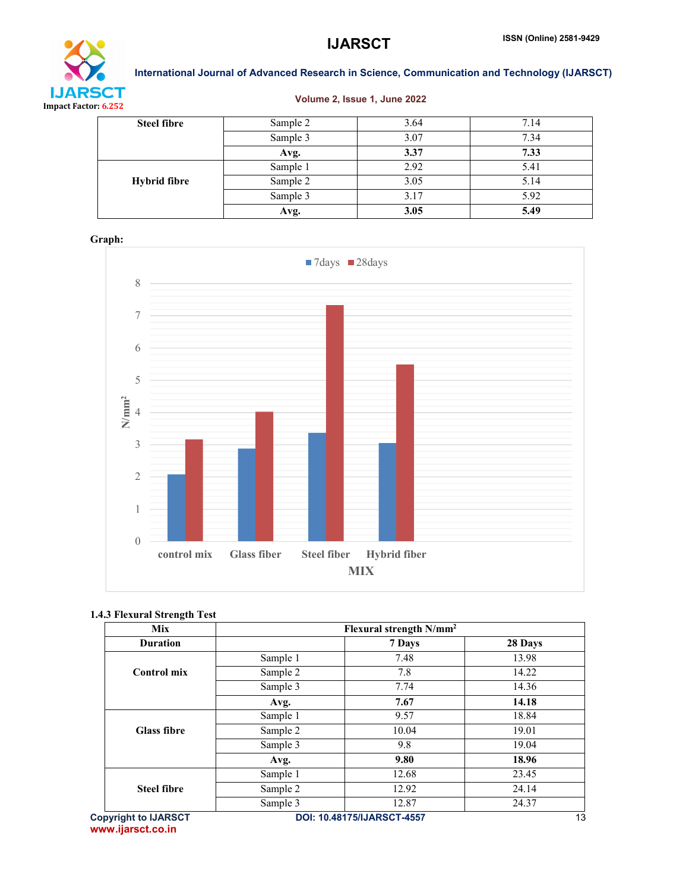

### Volume 2, Issue 1, June 2022

| <b>Steel fibre</b>  | Sample 2 | 3.64 | 7.14 |
|---------------------|----------|------|------|
|                     | Sample 3 | 3.07 | 7.34 |
|                     | Avg.     | 3.37 | 7.33 |
|                     | Sample 1 | 2.92 | 5.41 |
| <b>Hybrid fibre</b> | Sample 2 | 3.05 | 5.14 |
|                     | Sample 3 | 3.17 | 5.92 |
|                     | Avg.     | 3.05 | 5.49 |

# Graph:



# 1.4.3 Flexural Strength Test

| Mix                         | Flexural strength N/mm <sup>2</sup> |                                   |         |
|-----------------------------|-------------------------------------|-----------------------------------|---------|
| <b>Duration</b>             |                                     | 7 Days                            | 28 Days |
|                             | Sample 1                            | 7.48                              | 13.98   |
| <b>Control mix</b>          | Sample 2                            | 7.8                               | 14.22   |
|                             | Sample 3                            | 7.74                              | 14.36   |
|                             | Avg.                                | 7.67                              | 14.18   |
|                             | Sample 1                            | 9.57                              | 18.84   |
| <b>Glass fibre</b>          | Sample 2                            | 10.04                             | 19.01   |
|                             | Sample 3                            | 9.8                               | 19.04   |
|                             | Avg.                                | 9.80                              | 18.96   |
| <b>Steel fibre</b>          | Sample 1                            | 12.68                             | 23.45   |
|                             | Sample 2                            | 12.92                             | 24.14   |
|                             | Sample 3                            | 12.87                             | 24.37   |
| <b>Copyright to IJARSCT</b> |                                     | <b>DOI: 10.48175/IJARSCT-4557</b> | 13      |

www.ijarsct.co.in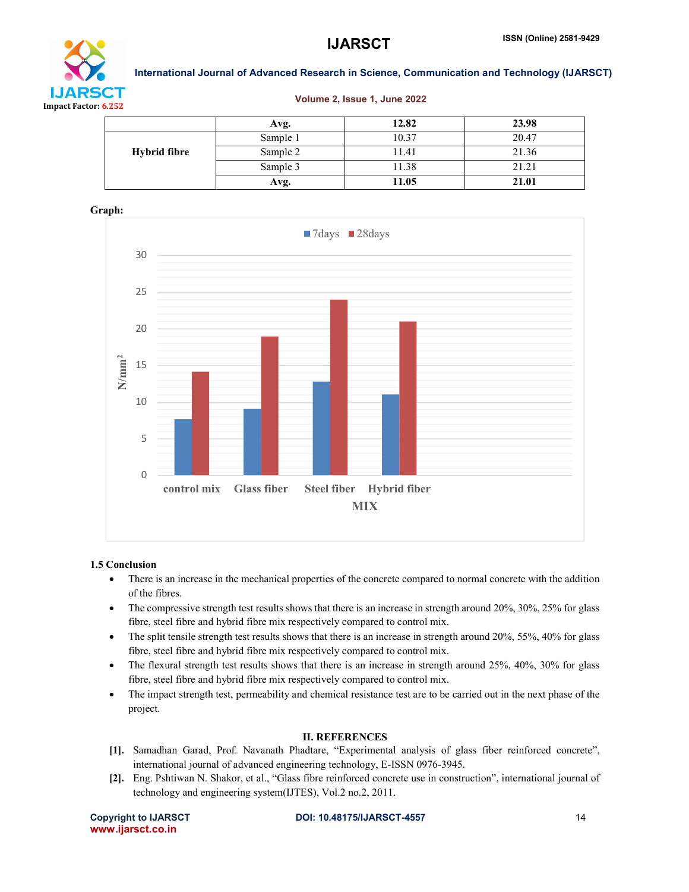

#### Volume 2, Issue 1, June 2022

|                     | Avg.     | 12.82 | 23.98 |
|---------------------|----------|-------|-------|
| <b>Hybrid fibre</b> | Sample 1 | 10.37 | 20.47 |
|                     | Sample 2 | 11.41 | 21.36 |
|                     | Sample 3 | 11.38 | 21.21 |
|                     | Avg.     | 11.05 | 21.01 |



#### 1.5 Conclusion

- There is an increase in the mechanical properties of the concrete compared to normal concrete with the addition of the fibres.
- $\bullet$  The compressive strength test results shows that there is an increase in strength around 20%, 30%, 25% for glass fibre, steel fibre and hybrid fibre mix respectively compared to control mix.
- The split tensile strength test results shows that there is an increase in strength around 20%, 55%, 40% for glass fibre, steel fibre and hybrid fibre mix respectively compared to control mix.
- The flexural strength test results shows that there is an increase in strength around 25%, 40%, 30% for glass fibre, steel fibre and hybrid fibre mix respectively compared to control mix.
- The impact strength test, permeability and chemical resistance test are to be carried out in the next phase of the project.

#### II. REFERENCES

- [1]. Samadhan Garad, Prof. Navanath Phadtare, "Experimental analysis of glass fiber reinforced concrete", international journal of advanced engineering technology, E-ISSN 0976-3945.
- [2]. Eng. Pshtiwan N. Shakor, et al., "Glass fibre reinforced concrete use in construction", international journal of technology and engineering system(IJTES), Vol.2 no.2, 2011.

www.ijarsct.co.in

Copyright to IJARSCT **DOI: 10.48175/IJARSCT-4557** 14